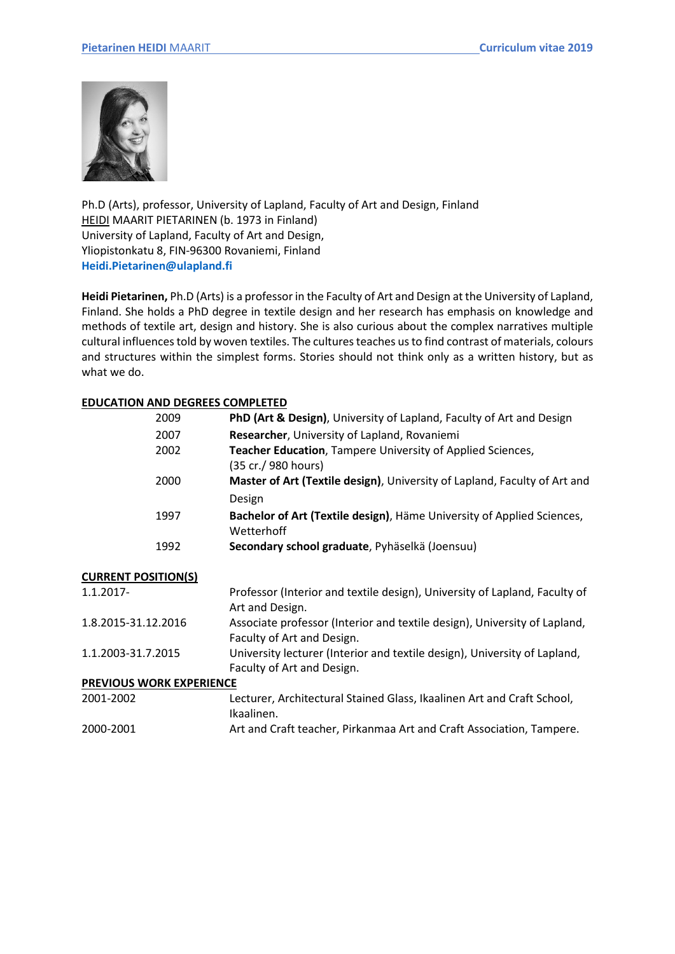

Ph.D (Arts), professor, University of Lapland, Faculty of Art and Design, Finland HEIDI MAARIT PIETARINEN (b. 1973 in Finland) University of Lapland, Faculty of Art and Design, Yliopistonkatu 8, FIN-96300 Rovaniemi, Finland **[Heidi.Pietarinen@ulapland.fi](mailto:Heidi.Pietarinen@ulapland.fi)**

**Heidi Pietarinen,** Ph.D (Arts) is a professor in the Faculty of Art and Design at the University of Lapland, Finland. She holds a PhD degree in textile design and her research has emphasis on knowledge and methods of textile art, design and history. She is also curious about the complex narratives multiple cultural influences told by woven textiles. The cultures teaches us to find contrast of materials, colours and structures within the simplest forms. Stories should not think only as a written history, but as what we do.

# **EDUCATION AND DEGREES COMPLETED**

| 2009                            | PhD (Art & Design), University of Lapland, Faculty of Art and Design                                    |
|---------------------------------|---------------------------------------------------------------------------------------------------------|
| 2007                            | Researcher, University of Lapland, Rovaniemi                                                            |
| 2002                            | Teacher Education, Tampere University of Applied Sciences,<br>(35 cr./ 980 hours)                       |
| 2000                            | Master of Art (Textile design), University of Lapland, Faculty of Art and<br>Design                     |
| 1997                            | Bachelor of Art (Textile design), Häme University of Applied Sciences,<br>Wetterhoff                    |
| 1992                            | Secondary school graduate, Pyhäselkä (Joensuu)                                                          |
| <b>CURRENT POSITION(S)</b>      |                                                                                                         |
| 1.1.2017-                       | Professor (Interior and textile design), University of Lapland, Faculty of<br>Art and Design.           |
| 1.8.2015-31.12.2016             | Associate professor (Interior and textile design), University of Lapland,<br>Faculty of Art and Design. |
| 1.1.2003-31.7.2015              | University lecturer (Interior and textile design), University of Lapland,<br>Faculty of Art and Design. |
| <b>PREVIOUS WORK EXPERIENCE</b> |                                                                                                         |
| 2001-2002                       | Lecturer, Architectural Stained Glass, Ikaalinen Art and Craft School,<br>Ikaalinen.                    |
| 2000-2001                       | Art and Craft teacher, Pirkanmaa Art and Craft Association, Tampere.                                    |
|                                 |                                                                                                         |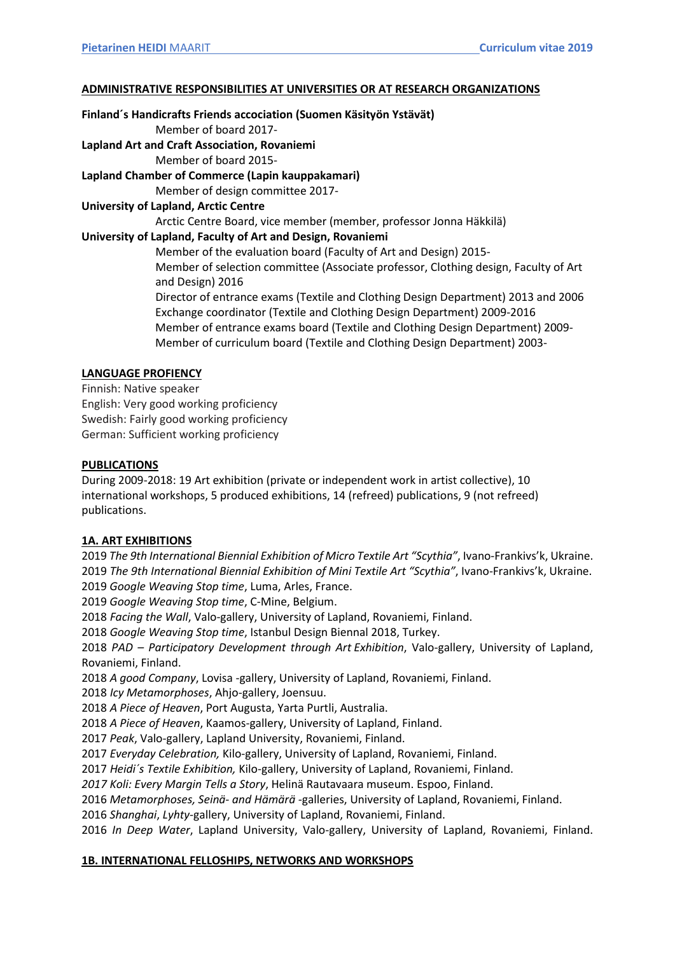#### **ADMINISTRATIVE RESPONSIBILITIES AT UNIVERSITIES OR AT RESEARCH ORGANIZATIONS**

#### **Finland´s Handicrafts Friends accociation (Suomen Käsityön Ystävät)**

Member of board 2017-

**Lapland Art and Craft Association, Rovaniemi**  Member of board 2015-

# **Lapland Chamber of Commerce (Lapin kauppakamari)**

Member of design committee 2017-

### **University of Lapland, Arctic Centre**

Arctic Centre Board, vice member (member, professor Jonna Häkkilä)

### **University of Lapland, Faculty of Art and Design, Rovaniemi**

Member of the evaluation board (Faculty of Art and Design) 2015- Member of selection committee (Associate professor, Clothing design, Faculty of Art and Design) 2016

Director of entrance exams (Textile and Clothing Design Department) 2013 and 2006 Exchange coordinator (Textile and Clothing Design Department) 2009-2016 Member of entrance exams board (Textile and Clothing Design Department) 2009- Member of curriculum board (Textile and Clothing Design Department) 2003-

# **LANGUAGE PROFIENCY**

Finnish: Native speaker English: Very good working proficiency Swedish: Fairly good working proficiency German: Sufficient working proficiency

#### **PUBLICATIONS**

During 2009-2018: 19 Art exhibition (private or independent work in artist collective), 10 international workshops, 5 produced exhibitions, 14 (refreed) publications, 9 (not refreed) publications.

# **1A. ART EXHIBITIONS**

2019 *The 9th International Biennial Exhibition of Micro Textile Art "Scythia"*, Ivano-Frankivs'k, Ukraine. 2019 *The 9th International Biennial Exhibition of Mini Textile Art "Scythia"*, Ivano-Frankivs'k, Ukraine. 2019 *Google Weaving Stop time*, Luma, Arles, France.

2019 *Google Weaving Stop time*, C-Mine, Belgium.

2018 *Facing the Wall*, Valo-gallery, University of Lapland, Rovaniemi, Finland.

2018 *Google Weaving Stop time*, Istanbul Design Biennal 2018, Turkey.

2018 *PAD – Participatory Development through Art Exhibition*, Valo-gallery, University of Lapland, Rovaniemi, Finland.

2018 *A good Company*, Lovisa -gallery, University of Lapland, Rovaniemi, Finland.

2018 *Icy Metamorphoses*, Ahjo-gallery, Joensuu.

2018 *A Piece of Heaven*, Port Augusta, Yarta Purtli, Australia.

2018 *A Piece of Heaven*, Kaamos-gallery, University of Lapland, Finland.

2017 *Peak*, Valo-gallery, Lapland University, Rovaniemi, Finland.

2017 *Everyday Celebration,* Kilo-gallery, University of Lapland, Rovaniemi, Finland.

2017 *Heidi´s Textile Exhibition,* Kilo-gallery, University of Lapland, Rovaniemi, Finland.

*2017 Koli: Every Margin Tells a Story*, Helinä Rautavaara museum. Espoo, Finland.

2016 *Metamorphoses, Seinä- and Hämärä -*galleries, University of Lapland, Rovaniemi, Finland.

2016 *Shanghai*, *Lyhty-*gallery, University of Lapland, Rovaniemi, Finland.

2016 *In Deep Water*, Lapland University, Valo-gallery, University of Lapland, Rovaniemi, Finland.

# **1B. INTERNATIONAL FELLOSHIPS, NETWORKS AND WORKSHOPS**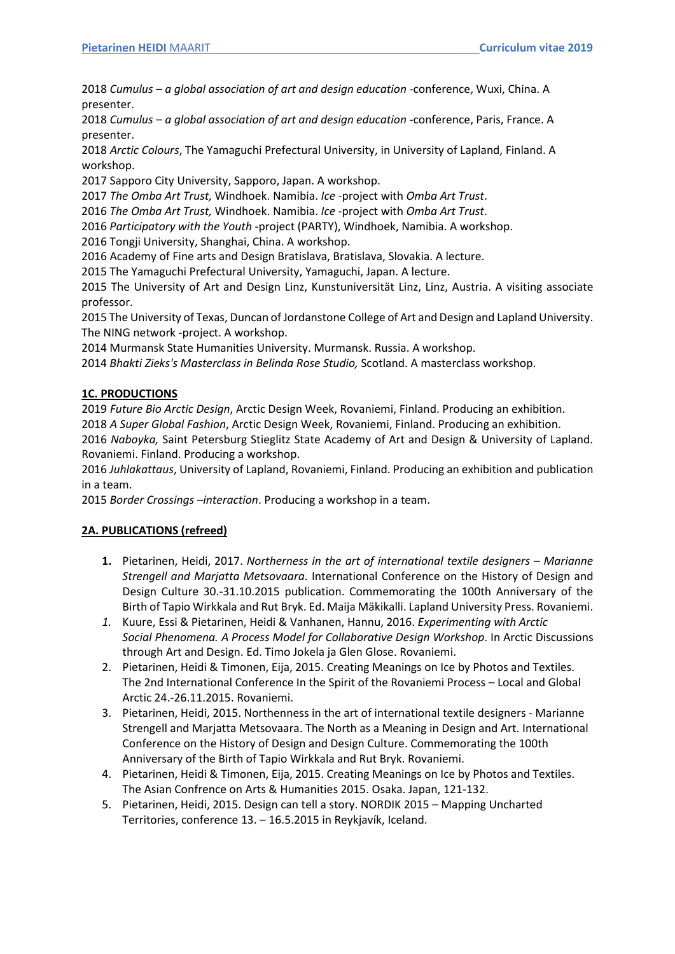2018 *Cumulus – a global association of art and design education* -conference, Wuxi, China. A presenter.

2018 *Cumulus – a global association of art and design education* -conference, Paris, France. A presenter.

2018 *Arctic Colours*, The Yamaguchi Prefectural University, in University of Lapland, Finland. A workshop.

2017 Sapporo City University, Sapporo, Japan. A workshop.

2017 *The Omba Art Trust,* Windhoek. Namibia. *Ice* -project with *Omba Art Trust*.

2016 *The Omba Art Trust,* Windhoek. Namibia. *Ice* -project with *Omba Art Trust*.

2016 *Participatory with the Youth* -project (PARTY), Windhoek, Namibia. A workshop.

2016 Tongji University, Shanghai, China. A workshop.

2016 Academy of Fine arts and Design Bratislava, Bratislava, Slovakia. A lecture.

2015 The Yamaguchi Prefectural University, Yamaguchi, Japan. A lecture.

2015 The University of Art and Design Linz, Kunstuniversität Linz, Linz, Austria. A visiting associate professor.

2015 The University of Texas, Duncan of Jordanstone College of Art and Design and Lapland University. The NING network -project. A workshop.

2014 Murmansk State Humanities University. Murmansk. Russia. A workshop.

2014 *Bhakti Zieks's Masterclass in Belinda Rose Studio,* Scotland. A masterclass workshop.

# **1C. PRODUCTIONS**

2019 *Future Bio Arctic Design*, Arctic Design Week, Rovaniemi, Finland. Producing an exhibition. 2018 *A Super Global Fashion*, Arctic Design Week, Rovaniemi, Finland. Producing an exhibition.

2016 *Naboyka,* Saint Petersburg Stieglitz State Academy of Art and Design & University of Lapland. Rovaniemi. Finland. Producing a workshop.

2016 *Juhlakattaus*, University of Lapland, Rovaniemi, Finland. Producing an exhibition and publication in a team.

2015 *Border Crossings –interaction*. Producing a workshop in a team.

#### **2A. PUBLICATIONS (refreed)**

- **1.** Pietarinen, Heidi, 2017. *Northerness in the art of international textile designers – Marianne Strengell and Marjatta Metsovaara*. International Conference on the History of Design and Design Culture 30.-31.10.2015 publication. Commemorating the 100th Anniversary of the Birth of Tapio Wirkkala and Rut Bryk. Ed. Maija Mäkikalli. Lapland University Press. Rovaniemi.
- *1.* Kuure, Essi & Pietarinen, Heidi & Vanhanen, Hannu, 2016. *Experimenting with Arctic Social Phenomena. A Process Model for Collaborative Design Workshop*. In Arctic Discussions through Art and Design. Ed. Timo Jokela ja Glen Glose. Rovaniemi.
- 2. Pietarinen, Heidi & Timonen, Eija, 2015. Creating Meanings on Ice by Photos and Textiles. The 2nd International Conference In the Spirit of the Rovaniemi Process – Local and Global Arctic 24.-26.11.2015. Rovaniemi.
- 3. Pietarinen, Heidi, 2015. Northenness in the art of international textile designers Marianne Strengell and Marjatta Metsovaara. The North as a Meaning in Design and Art. International Conference on the History of Design and Design Culture. Commemorating the 100th Anniversary of the Birth of Tapio Wirkkala and Rut Bryk. Rovaniemi.
- 4. Pietarinen, Heidi & Timonen, Eija, 2015. Creating Meanings on Ice by Photos and Textiles. The Asian Confrence on Arts & Humanities 2015. Osaka. Japan, 121-132.
- 5. Pietarinen, Heidi, 2015. Design can tell a story. NORDIK 2015 Mapping Uncharted Territories, conference 13. – 16.5.2015 in Reykjavík, Iceland.